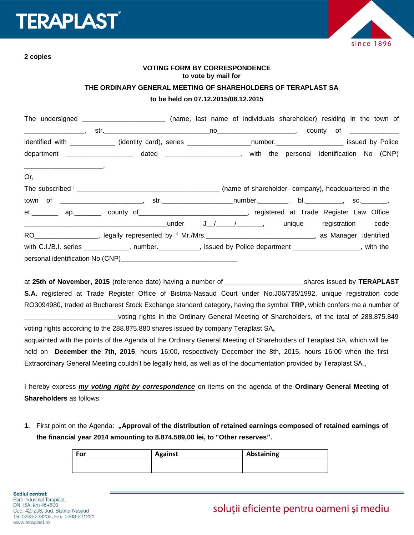## **ERAPLAS**



**2 copies**

## **VOTING FORM BY CORRESPONDENCE to vote by mail for**

## **THE ORDINARY GENERAL MEETING OF SHAREHOLDERS OF TERAPLAST SA**

## **to be held on 07.12.2015/08.12.2015**

|     | The undersigned ______________________________ (name, last name of individuals shareholder) residing in the town of |  |  |  |  |
|-----|---------------------------------------------------------------------------------------------------------------------|--|--|--|--|
|     |                                                                                                                     |  |  |  |  |
|     | identified with ____________ (identity card), series __________________number.___________________ issued by Police  |  |  |  |  |
|     | department ______________________ dated _____________________, with the personal identification No (CNP)            |  |  |  |  |
|     |                                                                                                                     |  |  |  |  |
| Or, |                                                                                                                     |  |  |  |  |
|     |                                                                                                                     |  |  |  |  |
|     |                                                                                                                     |  |  |  |  |
|     | et. ________, ap. ________, county of ________________________________, registered at Trade Register Law Office     |  |  |  |  |
|     |                                                                                                                     |  |  |  |  |
|     | RO___________________, legally represented by " Mr./Mrs._______________________________, as Manager, identified     |  |  |  |  |
|     | with C.I./B.I. series ____________, number.__________, issued by Police department ________________, with the       |  |  |  |  |
|     |                                                                                                                     |  |  |  |  |

at **25th of November, 2015** (reference date) having a number of \_\_\_\_\_\_\_\_\_\_\_\_\_\_\_\_\_\_\_\_\_shares issued by **TERAPLAST S.A.** registered at Trade Register Office of Bistrita-Nasaud Court under No.J06/735/1992, unique registration code RO3094980, traded at Bucharest Stock Exchange standard category, having the symbol **TRP,** which confers me a number of voting rights in the Ordinary General Meeting of Shareholders, of the total of 288.875.849

voting rights according to the 288.875.880 shares issued by company Teraplast SA**,**

acquainted with the points of the Agenda of the Ordinary General Meeting of Shareholders of Teraplast SA, which will be held on **December the 7th, 2015**, hours 16:00, respectively December the 8th, 2015, hours 16:00 when the first Extraordinary General Meeting couldn't be legally held, as well as of the documentation provided by Teraplast SA.,

I hereby express *my voting right by correspondence* on items on the agenda of the **Ordinary General Meeting of Shareholders** as follows:

**1.** First point on the Agenda: **"Approval of the distribution of retained earnings composed of retained earnings of the financial year 2014 amounting to 8.874.589,00 lei, to "Other reserves".**

| For | <b>Against</b> | Abstaining |
|-----|----------------|------------|
|     |                |            |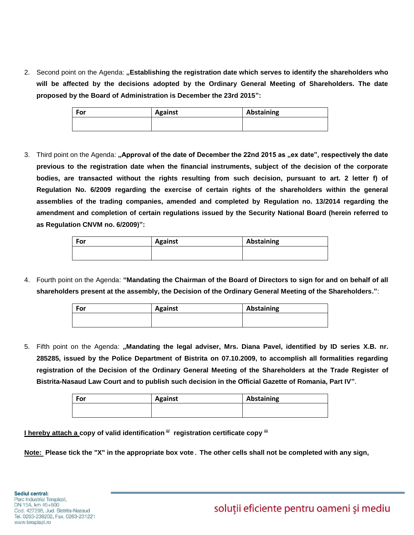2. Second point on the Agenda: **"Establishing the registration date which serves to identify the shareholders who will be affected by the decisions adopted by the Ordinary General Meeting of Shareholders. The date proposed by the Board of Administration is December the 23rd 2015":**

| For | <b>Against</b> | Abstaining |
|-----|----------------|------------|
|     |                |            |

3. Third point on the Agenda: **"Approval of the date of December the 22nd 2015 as "ex date", respectively the date previous to the registration date when the financial instruments, subject of the decision of the corporate bodies, are transacted without the rights resulting from such decision, pursuant to art. 2 letter f) of Regulation No. 6/2009 regarding the exercise of certain rights of the shareholders within the general assemblies of the trading companies, amended and completed by Regulation no. 13/2014 regarding the amendment and completion of certain regulations issued by the Security National Board (herein referred to as Regulation CNVM no. 6/2009)":**

| For | <b>Against</b> | Abstaining |
|-----|----------------|------------|
|     |                |            |
|     |                |            |

4. Fourth point on the Agenda: **"Mandating the Chairman of the Board of Directors to sign for and on behalf of all shareholders present at the assembly, the Decision of the Ordinary General Meeting of the Shareholders."**:

| For | <b>Against</b> | Abstaining |
|-----|----------------|------------|
|     |                |            |

5. Fifth point on the Agenda: **"Mandating the legal adviser, Mrs. Diana Pavel, identified by ID series X.B. nr. 285285, issued by the Police Department of Bistrita on 07.10.2009, to accomplish all formalities regarding registration of the Decision of the Ordinary General Meeting of the Shareholders at the Trade Register of Bistrita-Nasaud Law Court and to publish such decision in the Official Gazette of Romania, Part IV"**.

| For | <b>Against</b> | Abstaining |  |  |
|-----|----------------|------------|--|--|
|     |                |            |  |  |
|     |                |            |  |  |

**I hereby attach a copy of valid identification ii/ registration certificate copy iii**

**Note: Please tick the "X" in the appropriate box vote**. **The other cells shall not be completed with any sign,**